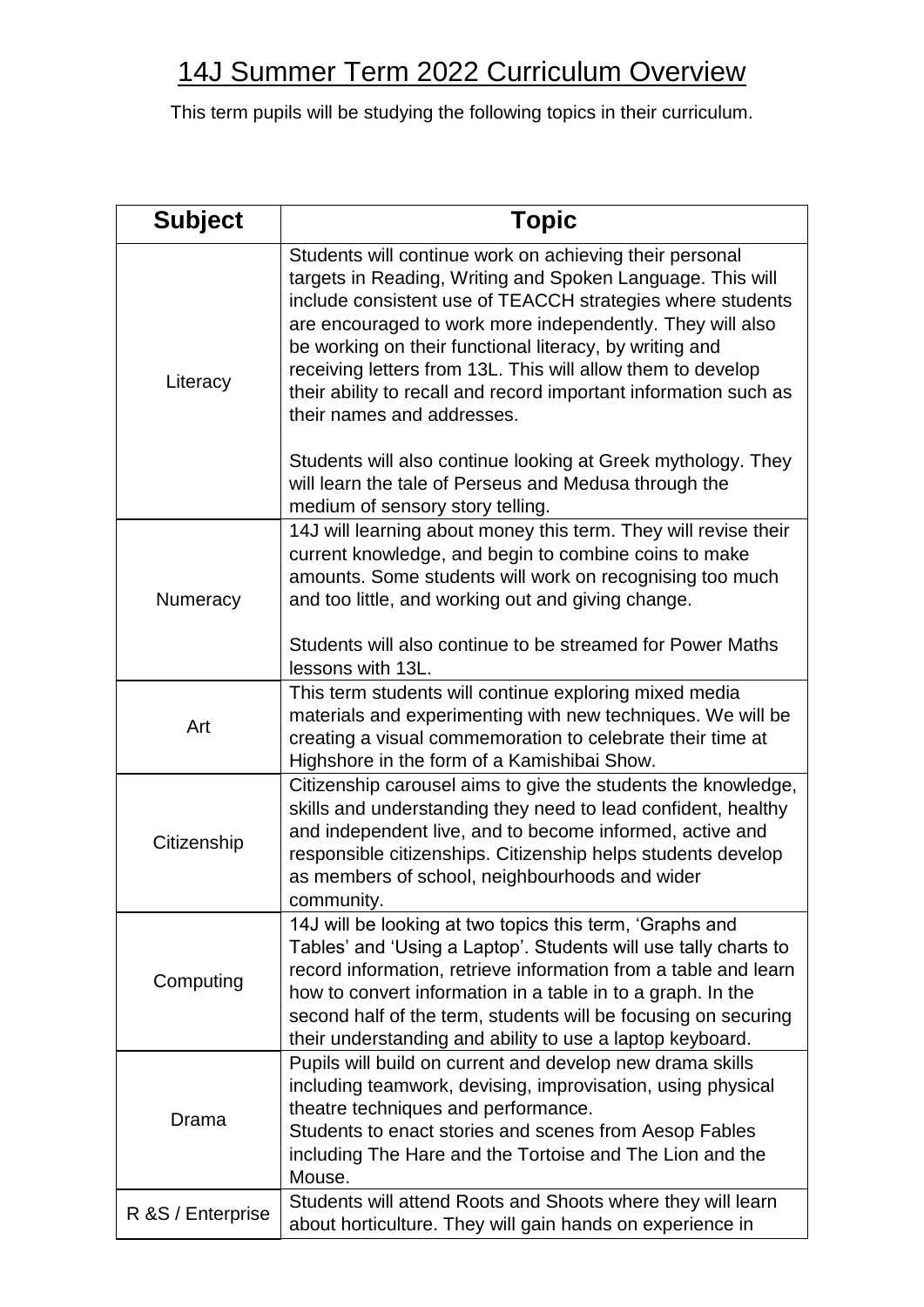## 14J Summer Term 2022 Curriculum Overview

This term pupils will be studying the following topics in their curriculum.

| <b>Subject</b>    | <b>Topic</b>                                                                                                                                                                                                                                                                                                                                                                                                                                                                 |
|-------------------|------------------------------------------------------------------------------------------------------------------------------------------------------------------------------------------------------------------------------------------------------------------------------------------------------------------------------------------------------------------------------------------------------------------------------------------------------------------------------|
| Literacy          | Students will continue work on achieving their personal<br>targets in Reading, Writing and Spoken Language. This will<br>include consistent use of TEACCH strategies where students<br>are encouraged to work more independently. They will also<br>be working on their functional literacy, by writing and<br>receiving letters from 13L. This will allow them to develop<br>their ability to recall and record important information such as<br>their names and addresses. |
|                   | Students will also continue looking at Greek mythology. They<br>will learn the tale of Perseus and Medusa through the<br>medium of sensory story telling.                                                                                                                                                                                                                                                                                                                    |
| Numeracy          | 14J will learning about money this term. They will revise their<br>current knowledge, and begin to combine coins to make<br>amounts. Some students will work on recognising too much<br>and too little, and working out and giving change.                                                                                                                                                                                                                                   |
|                   | Students will also continue to be streamed for Power Maths<br>lessons with 13L.                                                                                                                                                                                                                                                                                                                                                                                              |
| Art               | This term students will continue exploring mixed media<br>materials and experimenting with new techniques. We will be<br>creating a visual commemoration to celebrate their time at<br>Highshore in the form of a Kamishibai Show.                                                                                                                                                                                                                                           |
| Citizenship       | Citizenship carousel aims to give the students the knowledge,<br>skills and understanding they need to lead confident, healthy<br>and independent live, and to become informed, active and<br>responsible citizenships. Citizenship helps students develop<br>as members of school, neighbourhoods and wider<br>community.                                                                                                                                                   |
| Computing         | 14J will be looking at two topics this term, 'Graphs and<br>Tables' and 'Using a Laptop'. Students will use tally charts to<br>record information, retrieve information from a table and learn<br>how to convert information in a table in to a graph. In the<br>second half of the term, students will be focusing on securing<br>their understanding and ability to use a laptop keyboard.                                                                                 |
| Drama             | Pupils will build on current and develop new drama skills<br>including teamwork, devising, improvisation, using physical<br>theatre techniques and performance.<br>Students to enact stories and scenes from Aesop Fables<br>including The Hare and the Tortoise and The Lion and the<br>Mouse.                                                                                                                                                                              |
| R &S / Enterprise | Students will attend Roots and Shoots where they will learn<br>about horticulture. They will gain hands on experience in                                                                                                                                                                                                                                                                                                                                                     |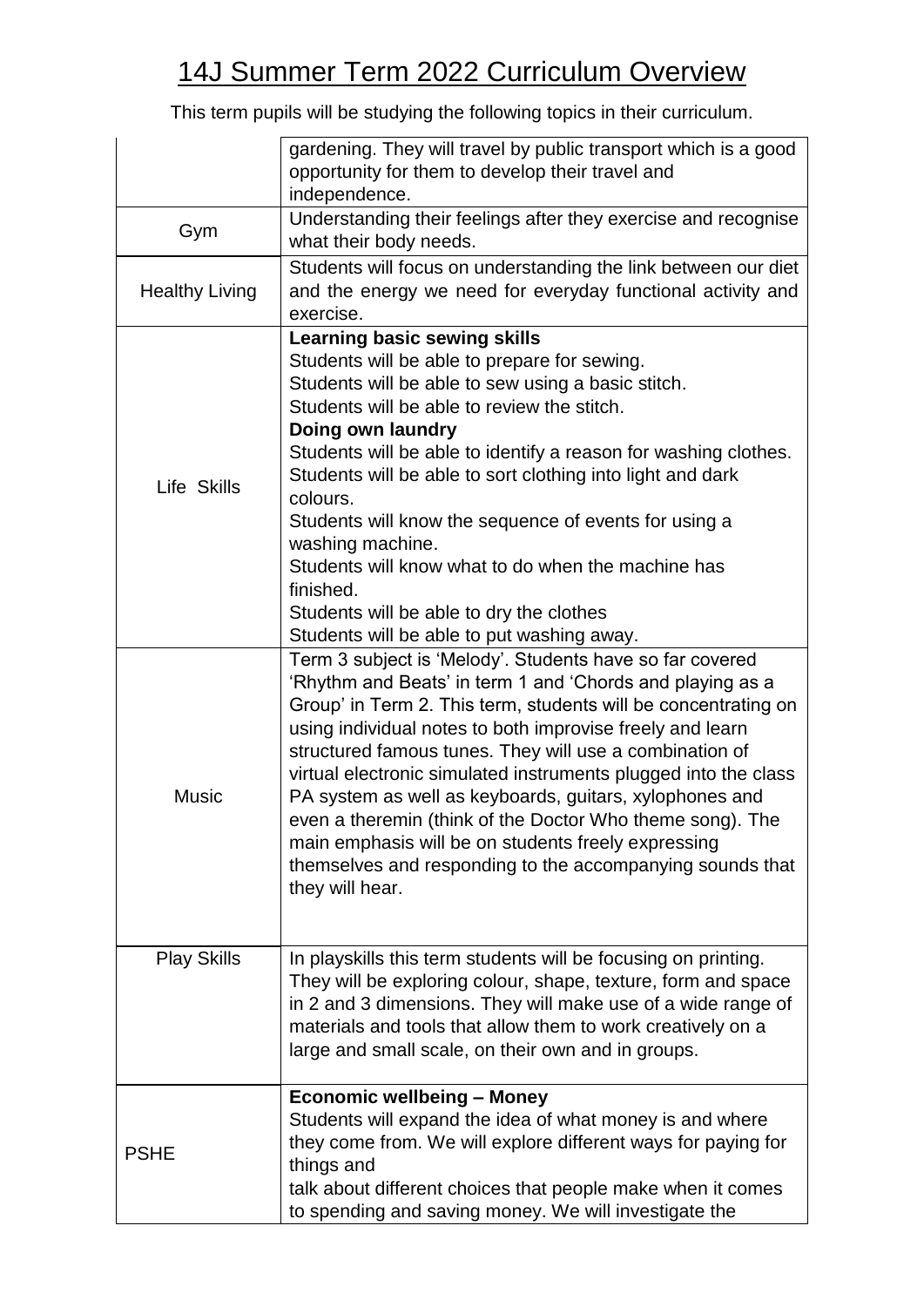## 14J Summer Term 2022 Curriculum Overview

This term pupils will be studying the following topics in their curriculum.

|                       | gardening. They will travel by public transport which is a good<br>opportunity for them to develop their travel and<br>independence.                                                                                                                                                                                                                                                                                                                                                                                                                                                                                                              |
|-----------------------|---------------------------------------------------------------------------------------------------------------------------------------------------------------------------------------------------------------------------------------------------------------------------------------------------------------------------------------------------------------------------------------------------------------------------------------------------------------------------------------------------------------------------------------------------------------------------------------------------------------------------------------------------|
| Gym                   | Understanding their feelings after they exercise and recognise<br>what their body needs.                                                                                                                                                                                                                                                                                                                                                                                                                                                                                                                                                          |
| <b>Healthy Living</b> | Students will focus on understanding the link between our diet<br>and the energy we need for everyday functional activity and<br>exercise.                                                                                                                                                                                                                                                                                                                                                                                                                                                                                                        |
| Life Skills           | <b>Learning basic sewing skills</b><br>Students will be able to prepare for sewing.<br>Students will be able to sew using a basic stitch.<br>Students will be able to review the stitch.<br>Doing own laundry<br>Students will be able to identify a reason for washing clothes.<br>Students will be able to sort clothing into light and dark<br>colours.<br>Students will know the sequence of events for using a<br>washing machine.<br>Students will know what to do when the machine has<br>finished.<br>Students will be able to dry the clothes<br>Students will be able to put washing away.                                              |
| <b>Music</b>          | Term 3 subject is 'Melody'. Students have so far covered<br>'Rhythm and Beats' in term 1 and 'Chords and playing as a<br>Group' in Term 2. This term, students will be concentrating on<br>using individual notes to both improvise freely and learn<br>structured famous tunes. They will use a combination of<br>virtual electronic simulated instruments plugged into the class<br>PA system as well as keyboards, guitars, xylophones and<br>even a theremin (think of the Doctor Who theme song). The<br>main emphasis will be on students freely expressing<br>themselves and responding to the accompanying sounds that<br>they will hear. |
| <b>Play Skills</b>    | In playskills this term students will be focusing on printing.<br>They will be exploring colour, shape, texture, form and space<br>in 2 and 3 dimensions. They will make use of a wide range of<br>materials and tools that allow them to work creatively on a<br>large and small scale, on their own and in groups.                                                                                                                                                                                                                                                                                                                              |
| <b>PSHE</b>           | <b>Economic wellbeing - Money</b><br>Students will expand the idea of what money is and where<br>they come from. We will explore different ways for paying for<br>things and<br>talk about different choices that people make when it comes<br>to spending and saving money. We will investigate the                                                                                                                                                                                                                                                                                                                                              |